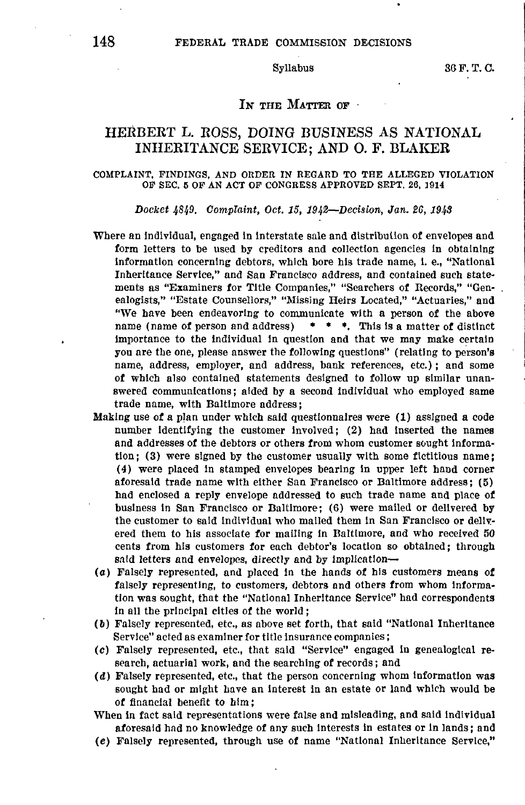# IN THE MATTER OF

# HERBERT L. ROSS, DOING BUSINESS AS NATIONAL INHERITANCE SERVICE; AND 0. F. BLAKER

### COMPLAINT, FINDINGS, AND ORDER IN REGARD TO THE ALLEGED VIOLATION OF SEC. **5** OF **AN ACT** OF CONGRESS APPROVED SEPT. 26, 1914

### *Docket 4849. Complaint, Oct. 15, 194~-Decislon, Jan. 26, 1949*

- Where an individual, engaged in interstate sale and dlstribuilon of envelopes and form letters to be used by creditors and collection agencies In obtaining information concerning debtors, which bore his trade name, **l. e.,** "National Inheritance Service," and San Francisco address, and contained such statements as "Examiners for Title Companies," "Searchers of Records," "Genealogists," "Estate Counsellors," "Missing Heirs Located," "Actuaries," and "We have been endeavoring to communicate with a person of the above name (name of person and address) • • •. This is a matter **of** distinct importance to the individual in question and that we may make certain you are the one, please answer the following questions" (relating to person's name, address, employer, and address, bank references, etc.); and some **of** which also contained statements designed *to* follow up similar unanswered communications; aided by **a** second individual who employed same trade name, with Baltimore address;
- Making use of a plan under which said questionnaires were (1) assigned a code number identifying the customer involved; (2) had inserted the names and addresses of the debtors or others from whom customer sought information; (3) were signed by the customer usually with some fictitious name; (4) were placed in stamped envelopes bearing in upper left band corner aforesaid trade name with either San Francisco or Baltimore address; (5) had enclosed a reply envelope addressed to such trade name and place **of**  business in San Francisco or Baltimore; (6) were mailed or delivered **by**  the customer to said individual who malled them in San Francisco or delivered them to his associate for mailing in Baltimore, and who received 50 cents from his customers for each debtor's location so obtained; through said letters and envelopes, directly and by implication-
- (a) Falsely represented, and placed in the hands of his customers means **of**  falsely representing, to customers, debtors and others from whom information was sought, that the "National Inheritance Service" had correspondents in all the principal cities of the world;
- ( **ll)** Falsely represented, etc., as above set forth, that said "National Inheritance Service" acted as examiner for title insurance companies;
- (c) Falsely represented, etc., that said "Service" engaged in genealogical **re**search, actuarial work, and the searching of records; and
- **(d)** Falsely represented, etc., that the person concerning whom Information was sought had or might have an interest in an estate or land which would be **of** financial benefit to him;
- When in fact said representations were false and misleading, and said Individual aforesaid had no knowledge of any such Interests In estates or in lands; and
- (e) Falsely represented, through use of name "National Inheritance Service,"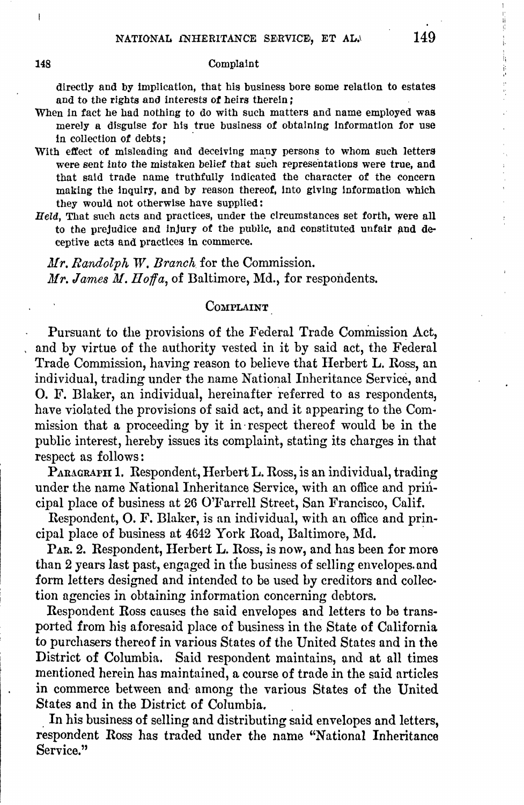### **148** Complaint

directly and by implication, that his business bore some relation to estates and to the rights and interests **of** heirs therein;

- When in fact he had nothing to do with such matters and name employed was merely a disguise for his true business of obtaining information for use in collection of debts;
- With effect of misleading and deceiving many persons to whom such letters were sent into the mistaken belief that such representations were true, and that said trade name truthfully indicated the character of the concern making the inquiry, and by reason thereof, into giving Information which they would not otherwise have supplied:
- *Held,* That such acts and practices, under the circumstances set forth, were all to the prejudice and injury of the public, and constituted unfair and deceptive acts and practices In commerce.

*Mr. Randolph* lV. *Branch* for the Commission. *Mr. James M. Hoffa,* of Baltimore, Md., for respondents.

# COMPLAINT

Pursuant to the provisions of the Federal Trade Commission Act, and by virtue of the authority vested in it by said act, the Federal Trade Commission, having reason to believe that Herbert L. Ross, an individual, trading under the name National Inheritance Service, and O. F. Blaker, an individual, hereinafter referred to as respondents, have violated the provisions of said act, and it appearing to the Commission that a proceeding by it in respect thereof would be in the public interest, hereby issues its complaint, stating its charges in that respect as follows:

PARAGRAPH 1. Respondent, Herbert L. Ross, is an individual, trading under the name National Inheritance Service, with an office and principal place of business at 26 O'Farrell Street, San Francisco, Calif.

Respondent, O. F. Blaker, is an individual, with an office and principal place of business at 4642 York Road, Baltimore, Md. ·

PAR. 2. Respondent, Herbert L. Ross, is now, and has been for more than 2 years last past, engaged in the business of selling envelopes. and form letters designed and intended to be used by creditors and collection agencies in obtaining information concerning debtors.

Respondent Ross causes the said envelopes and letters to be transported from his aforesaid place of business in the State of California to purchasers thereof in various States of the United States and in the District of Columbia. Said respondent maintains, and at all times mentioned herein has maintained, a course of trade in the said articles in commerce between and· among the various States of the United States and in the District of Columbia. .

In his business of selling and distributing said envelopes and letters, respondent Ross has traded under the name "National Inheritance Service."

 $\mathbf{I}$ 

计转移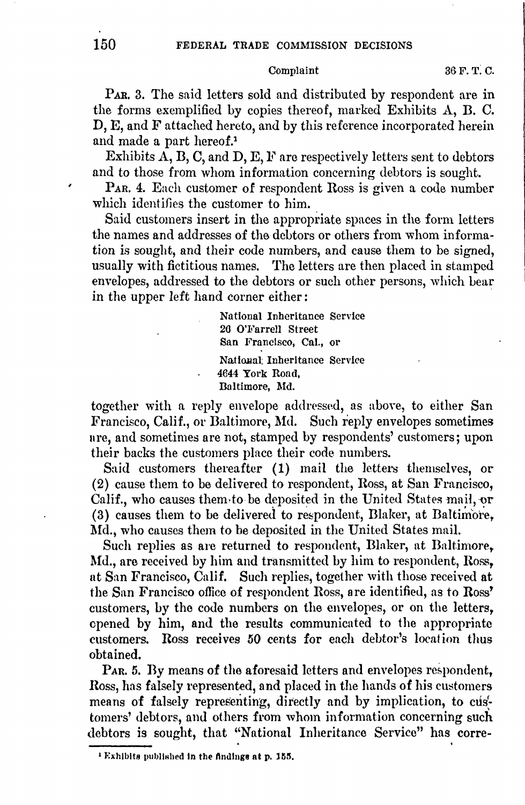### Complaint

PAR. 3. The said letters sold and distributed by respondent are in the forms exemplified by copies thereof, marked Exhibits A, B. C. D, E, and F attached hereto, and by this reference incorporated herein and made a part hereof.<sup>1</sup>

Exhibits  $A$ ,  $B$ ,  $C$ , and  $D$ ,  $E$ ,  $F$  are respectively letters sent to debtors and to those from whom information concerning debtors is sought.

PAR. 4. Each customer of respondent Ross is given a code number which identifies the customer to him.

Said customers insert in the appropriate spaces in the form letters the names and addresses of the debtors or others from whom information is sought, and their code numbers, and cause them to be signed, usually with fictitious names. The letters are then placed in stamped envelopes, addressed to the debtors or such other persons, which bear in the upper left hand corner either:

> National Inheritance Service 26 O'Farrell Street San Francisco, Cal., or National Inheritance Service 4644 York Road, Baltimore, Md.

together with a reply envelope addressed, as above, to either San Francisco, Calif., or Baltimore, Md. Such reply envelopes sometimes are, and sometimes are not, stamped by respondents' customers; upon their backs the customers place their code numbers.

Said customers thereafter (1) mail the letters themselves, or (2) cause them to be delivered to respondent, Ross, at San Francisco, Calif., who causes them to be deposited in the United States mail, or  $(3)$  causes them to be delivered to respondent, Blaker, at Baltimore, Md., who causes them to be deposited in the United States mail.

Such replies as are returned to respondent, Blaker, at Baltimore, Md., are received by him and transmitted by him to respondent, Ross, nt San Francisco, Calif. Such replies, together with those received at the San Francisco office of respondent Ross, are identifieu, as to Ross' customers, by the code numbers on the envelopes, or on the letters, opened by him, and the results communicated to the appropriate customers. Ross receives 50 cents for each debtor's location thus obtained.

PAR. 5. By means of the aforesaid letters and envelopes respondent, Ross, has falsely represented, and placed in the hands of his customers means of falsely representing, directly and by implication, to customers' debtors, and others from whom information concerning such debtors is sought, that "National Inheritance Service" has corre-

 $1$  Exhibits published in the findings at p. 155.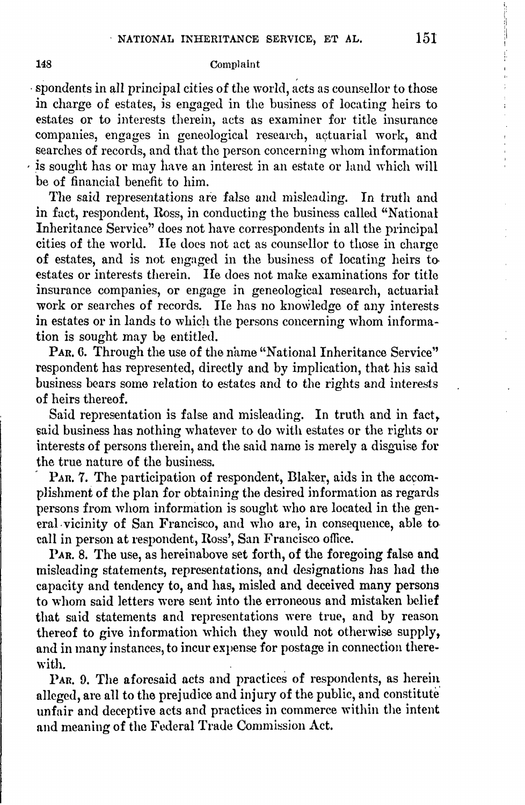## 148 Complaint

· spondents in all princjpal cities of the world, acts as counsellor *to* those in charge of estates, is engaged in the business of locating heirs to estates or to interests therein, acts as examiner for title insurance companies, engages in geneological research, actuarial work, and searches of records, and that the person concerning whom information , is sought has or may have an interest in an estate or land which will be of financial benefit to him.

The said representations are false and misleading. In truth and in fact, respondent, Ross, in conducting the business called "National Inheritance Service" does not have correspondents in all the principal cities of the world. He does not act as counsellor to those in charge **of** estates, and is not engaged in the business of locating heirs to• estates or interests therein. He does not make examinations for title insurance companies, or engage in geneological research, actuarial work or searches of records. He has no knowledge of any interests in estates or in lands to which the persons concerning whom information is sought may be entitled.

PAR, 6. Through the use of the name "National Inheritance Service" respondent has represented, directly and by implication, that his said business bears some relation to estates and to the rights and interests of heirs thereof.

Said representation is false and misleading. In truth and in fact, said business has nothing whatever to do with estates or the rights or interests of persons therein, and the said name is merely a disguise for the true nature of the business.

PAR. 7. The participation of respondent, Blaker, aids in the accomplishment of the plan for obtaining the desired information as regards persons from whom information is sought who are located in the general. vicinity of San Francisco, and who are, in consequence, able to. call in person at respondent, Ross', San Francisco office.

PAR. 8. The use, as hereinabove set forth, of the foregoing false and misleading statements, representations, and designations has had the capacity and tendency to, and has, misled and deceived many persons to whom said letters were sent into the erroneous and mistaken belief that said statements and representations were true, and by reason thereof to give information which they would not otherwise supply, and in many instances, to incur expense for postage in connection therewith.

PAR. 9. The aforesaid acts and practices of respondents, as herein alleged, are all to the prejudice and injury of the public, and constitute unfair and deceptive acts and practices in commerce within the intent and meaning of the Federal Trade Commission Act.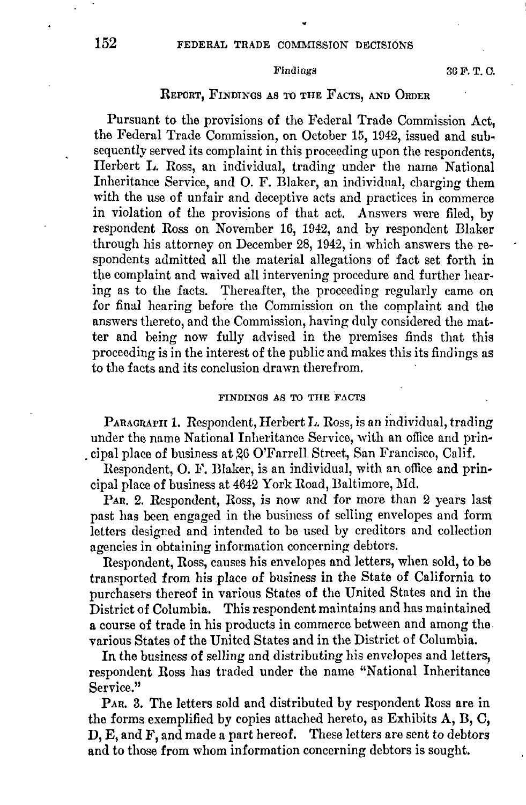## Findings 36 F.T.C.

# REPORT, FINDINGS AS TO THE FACTS, AND ORDER

Pursuant to the provisions of the Federal Trade Commission Act, the Federal Trade Commission, on October 15, 1942, issued and subsequently served its complaint in this proceeding upon the respondents, Herbert **L.** Ross, an individual, trading under the name National Inheritance Service, and O. F. Blaker, an individual, charging them with the use of unfair and deceptive acts and practices in commerce in violation of the provisions of that act. Answers were filed, by respondent Ross on November 16, 1942, and by respondent Blaker through his attorney on December 28, 1942, in which answers the respondents admitted all the material allegations of fact set forth in the complaint and waived all intervening procedure and further hearing as to the facts. Thereafter, the proceeding regularly came on for final hearing before the Commission on the complaint and the answers thereto, and the Commission, having duly considered the matter and being now fully advised in the premises finds that this proceeding is in the interest of the public and makes this its findings as to the facts and its conclusion drawn therefrom.

# FINDINGS AS TO THE FACTS

PARAGRAPH 1. Respondent, Herbert L. Ross, is an individual, trading under the name National Inheritance Service, with an office and prin . cipal place of business at 26 O'Farrell Street, San Francisco, Calif.

Respondent, O. F. Blaker, is an individual, with an office and principal place of business at 4642 York Road, Baltimore, Md.

PAR. 2. Respondent, Ross, is now and for more than 2 years last past has been engaged in the business of selling envelopes and form letters designed and intended to be used by creditors and collection agencies in obtaining information concerning debtors.

Respondent, Ross, causes his envelopes and letters, when sold, to be transported from his place of business in the State of California to purchasers thereof in various States of the United States and in thu District of Columbia. This respondent maintains and has maintained a course of trade in his products in commerce between and among the. various States of the United States and in the District of Columbia.

In the business of selling and distributing his envelopes and letters, respondent Ross has traded under the name "National Inheritance Service."

PAn. 3. The letters sold and distributed by respondent Ross are in the forms exemplified by copies attached hereto, as Exhibits A, B, C, D, E, and F, and made a part hereof. These letters are sent to debtors and to those from whom information concerning debtors is sought.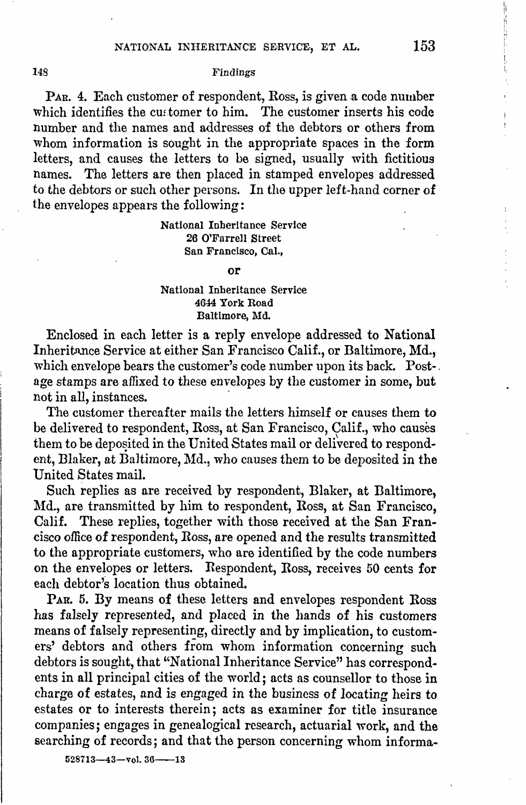# 148 Findings

PAR. 4. Each customer of respondent, Ross, is given a code number which identifies the customer to him. The customer inserts his code number and the names and addresses of the debtors or others from whom information is sought in the appropriate spaces in the form letters, and causes the letters to be signed, usually with fictitious names. The letters are then placed in stamped envelopes addressed to the debtors or such other persons. In the upper left-hand corner of the envelopes appears the following:

# National Inheritance Service 26 O'Farrell Street San Francisco, Cal.,

### or

# National Inheritance Service 4644 York Road Baltimore, Md.

Enclosed in each letter is a reply envelope addressed to National Inheritance Service at either San Francisco Calif., or Baltimore, Md., which envelope bears the customer's code number upon its back. Post-. age stamps are affixed to these envelopes by the customer in some, but not in all, instances.

The customer thereafter mails the letters himself or causes them to be delivered to respondent, Ross, at San Francisco, Calif., who causes them to be deposited in the United States mail or delivered to respondent, Blaker, at Baltimore, Md., who causes them to be deposited in the United States mail.

Such replies as are received by respondent, Blaker, at Baltimore, Md., are transmitted by him to respondent, Ross, at San Francisco, Calif. These replies, together with those received at the San Francisco office of respondent, Ross, are opened and the results transmitted to the appropriate customers, who are identified by the code numbers on the envelopes or letters. Respondent, Ross, receives 50 cents for each debtor's location thus obtained.

PAR. 5. By means of these letters and envelopes respondent Ross has falsely represented, and placed in the hands of his customers means of falsely representing, directly and by implication, to customers' debtors and others from whom information concerning such debtors is sought, that "National Inheritance Service" has correspondents in all principal cities of the world; acts as counsellor to those in charge of estates, and is engaged in the business of locating heirs to estates or to interests therein; acts as examiner for title insurance companies; engages in genealogical research, actuarial work, and the searching of records; and that the person concerning whom informa-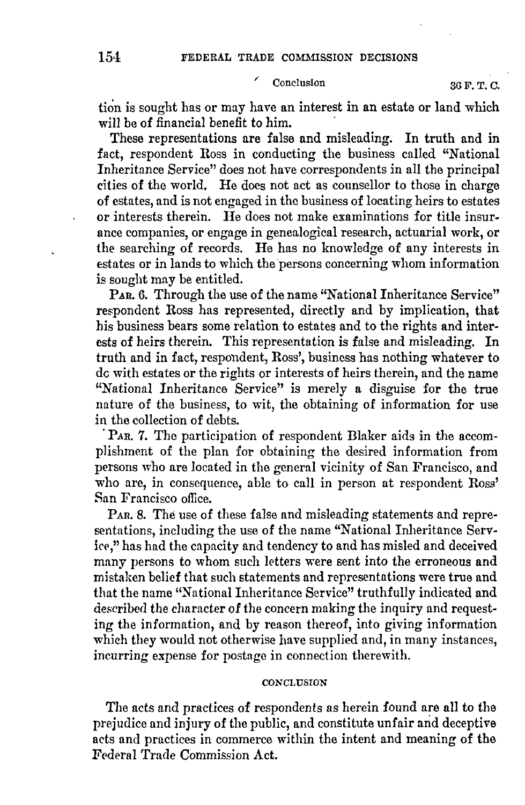# Conclusion 36 F.T.C.

tion is sought has or may have an interest in an estate or land which will be of financial benefit to him.

These representations are false and misleading. In truth and in fact, respondent Ross in conducting the business called "National Inheritance Service" does not have correspondents in all the principal cities of the world. He does not act as counsellor to those in charge of estates, and is not engaged in the business of locating heirs to estates or interests therein. He does not make examinations for title insurance companies, or engage in genealogical research, actuarial work, or the searching of records. He has no knowledge of any interests in estates or in lands to which the persons concerning whom information is sought may be entitled.

PAR. 6. Through the use of the name "National Inheritance Service" respondent Ross has represented, directly and by implication, that his business bears some relation to estates and to the rights and interests of heirs therein. This representation is false and misleading. In truth and in fact, respondent, Ross', business has nothing whatever to de with estates or the rights or interests of heirs therein, and the name "National Inheritance Service" is merely a disguise for the true nature of the business, to wit, the obtaining of information for use in the collection of debts.

PAR. 7. The participation of respondent Blaker aids in the accomplishment of the plan for obtaining the desired information from persons who are located in the general vicinity of San Francisco, and who are, in consequence, able to call in person at respondent Ross' San Francisco office.

PAR. 8. The use of these false and misleading statements and representations, including the use of the name "National Inheritance Service," has had the capacity and tendency to and has misled and deceived many persons to whom such letters were sent into the erroneous and mistaken belief that such statements and representations were true and that the name "National Inheritance Service" truthfully indicated and described the character of the concern making the inquiry and requesting the information, and by reason thereof, into giving information which they would not otherwise have supplied and, in many instances, incurring expense for postnge in connection therewith.

# **CONCLUSION**

The acts and practices of respondents as herein found are all to the prejudice and injury of the public, and constitute unfair and deceptive acts and practices in commerce within the intent and meaning of the Federal Trade Commission Act.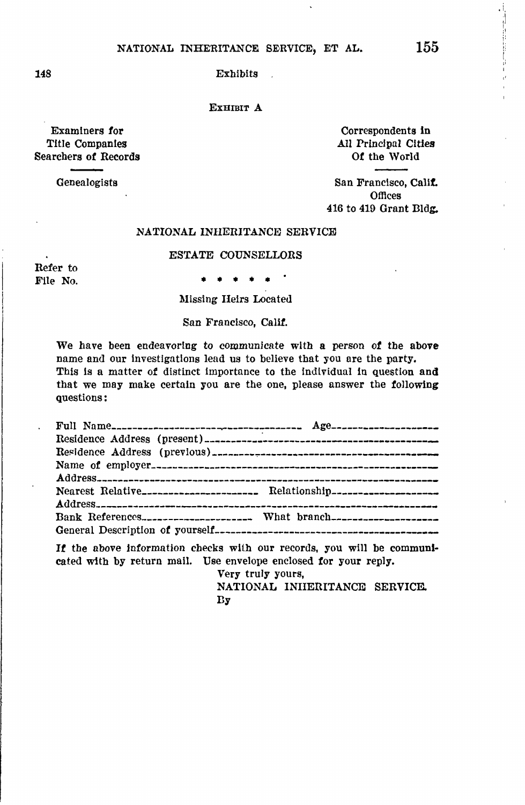# NATIONAL INHERITANCE SERVICE, ET AL.  $155$

148 Exhibits

EXHIBIT A

Examiners for **Formula** Correspondents in the Correspondents in the Correspondents in the Correspondents in the Correspondents in the Correspondents in the Correspondents of the Correspondents of the Correspondents of the Searchers of Records

All Principal Cities<br>Of the World

Genealogists San Francisco, Calif. **Offices** 416 to 419 Grant Bldg.

### NATIONAL INHERITANCE SERVICE

### ESTATE COUNSELLORS

Refer to

File No.  $\qquad \qquad \bullet \ \bullet \ \bullet \ \bullet \ \bullet$ 

Missing Heirs Located

San Francisco, Calif.

We have been endeavoring to communicate with a person of the above name and our Investigations lead us to believe that you ore the party. This ls a matter of distinct lmportonce to the lndlvidual in question **and**  that we may make certain you are the one, please answer the following questions:

| Nearest Relative______________________ Relationship______________________________ |  |
|-----------------------------------------------------------------------------------|--|
|                                                                                   |  |

If the above information checks with our records, you will be communicated with by return mail. Use envelope enclosed tor your reply.

> Very truly yours, NATIONAL INHERITANCE SERVICE. **By**

 $\cdot$ i,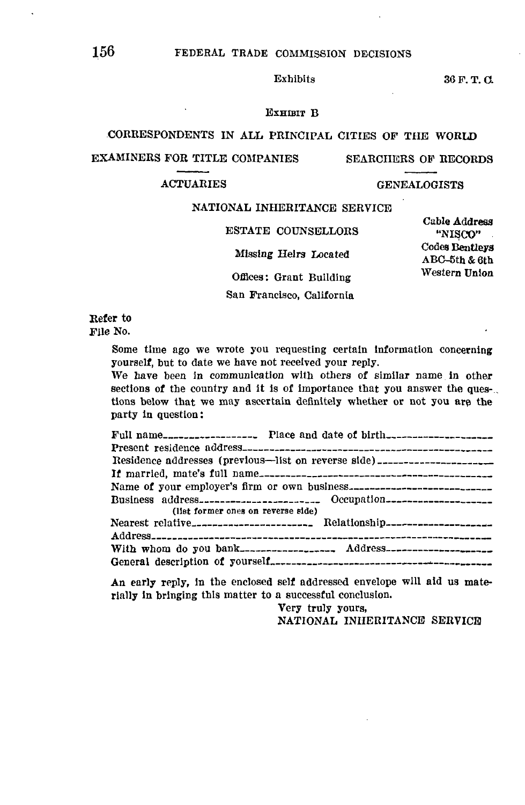Exhibits 36 F.T.C.

### EXHIBIT B

# CORRESPONDENTS IN ALL PRINCIPAL CITIES OF THE **WORLD**

## EXAMINERS FOR TITLE COMPANIES SEARCHERS OF RECORDS

# ACTUARIES GENEALOGISTS

### **NATIONAL** INHERITANCE SERVICE

Cable **Address**  ESTATE COUNSELLORS "NISCO"<br>Codes Bentleys Missing Heirs Located ABC-5th & 6th Offices: Grant Building Western Union

San Francisco, California

Refer to File No.

> Some time ago we wrote you requesting certain Information concerning yourself, but to date we have not received your reply.

We have been in communication with others of similar name in other sections of the country and it is of importance that you answer the questions below that we may ascertain definitely whether or not you are the party In question:

| Residence addresses (previous—list on reverse side) ____________________         |
|----------------------------------------------------------------------------------|
|                                                                                  |
|                                                                                  |
| (list former ones on reverse side)                                               |
| Nearest relative_______________________Relationship_____________________________ |
| With whom do you bank------------------- Address---------------------            |
|                                                                                  |

An early reply, in the enclosed self addressed envelope will aid us materially ln bringing this matter to a successful conclusion.

> Very truly yours, NATIONAL INHERITANCE SERVICE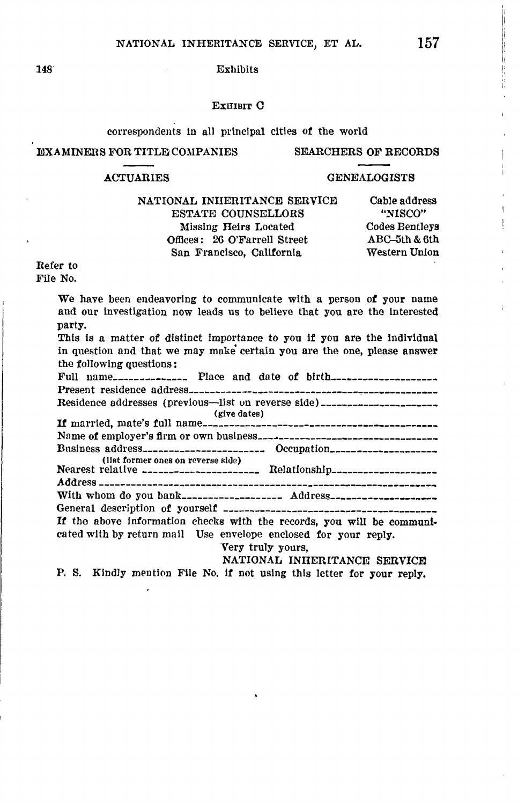### 148 Exhibits

### EXHIBIT O

### correspondents in all principal cities of the world

# EXAMINERS FOR TITLE COMPANIES SEARCHERS OF **RECORDS**

## ACTUARIES GENEALOGISTS

NATIONAL INHERITANCE SERVICE Cable address ESTATE COUNSELLORS "NISCO" Missing Heirs Located Codes Bentleys Offices: 26 O'Farrell Street ABC-5th & 6th San Francisco, California Western Union

# Refer to

File No.

We have been endeavoring to communicate with a person of your name and our investigation now leads us to belleve that you are the interested party. This ls a matter of distinct Importance to you it you are the Individual in question and that we may make' certain you are the one, please answer the following questions:<br>Full name\_\_\_\_\_\_\_\_\_\_\_\_\_\_\_\_ Place and date of birth\_\_\_\_\_\_\_\_\_\_\_\_\_\_\_\_\_\_\_\_\_\_\_\_\_\_\_\_\_\_\_\_ Present residence address---------------------~--,---------- Residence addresses (previous-list on reverse side) \_\_\_\_\_\_\_\_\_\_ (give dates) **H** married, mate's full name\_\_\_\_\_\_\_\_\_\_\_\_\_\_\_\_\_\_\_\_\_\_\_\_,\_\_\_\_\_\_\_\_\_\_ Name **of** employer's fh-m or own buslness---~-------------- Bnslness address\_\_\_\_\_\_\_\_\_\_\_\_\_ Occupation \_\_\_\_\_\_\_\_\_\_\_\_\_\_\_\_\_ \_ (list former ones on reverse Rlcle) Nearest relative ---------------------- Relationship\_\_\_\_\_\_\_\_\_\_\_\_\_\_\_\_\_\_\_\_ Address \_\_\_\_\_\_\_\_\_\_\_\_\_\_\_\_\_\_\_\_\_\_\_\_\_\_\_\_\_\_\_\_\_\_\_\_\_\_\_\_\_\_\_\_\_\_\_\_\_\_\_\_\_\_\_\_\_\_\_\_\_\_\_ With whom do you bank\_\_\_\_\_\_\_\_\_\_\_\_\_\_\_\_\_\_\_ Address\_\_\_\_\_\_\_\_\_\_\_\_\_\_\_\_\_\_\_\_ General [descriptl.on](https://descriptl.on) of yourself -------------------------------------- **It** the above Information checks with the records, you will be communicated with by return mail Use envelope enclosed for your reply. **"Very truly yours, NATIONAL INIIERITANCE SERVICE** 

**P.** S. **Kindly** mention Flle **No. If** not **using this** letter **tor your reply,**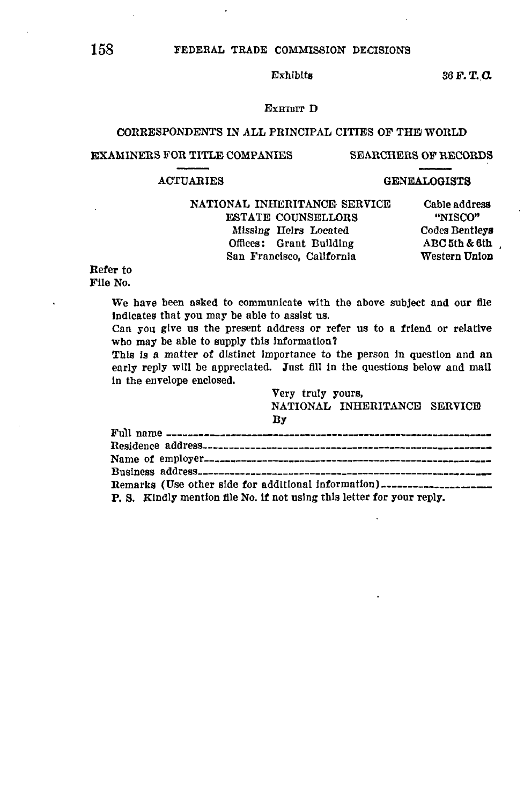# 158 FEDERAL TRADE COMMISSION DECISIONS

Exhibits  $36 F. T. Q.$ 

# EXHIBIT D

# CORRESPONDENTS IN ALL PRINCIPAL CITIES OF THE WORLD

### EXAMINERS FOR TITLE COMPANIES SEARCHERS OF RECORDS

### ACTUARIES GENEALOGISTS

# NATIONAL INHERITANCE SERVICE Cable address<br>
ESTATE COUNSELLORS "NISCO" ESTATE COUNSELLORS "NISCO"<br>Missing Helrs Located Codes Bentleys Missing Helrs Located Offices: Grant Building (ABC5th & 6th)<br>
San Francisco, California (Western Union) San Francisco, California

# Refer to

File No.

We have been asked to communicate with the above subject and our file Indicates that you may be able to assist us.

Can you give us the present address or refer us to a friend or relative who may be able to supply this Information?

This is a matter of distinct importance to the person in question and an early reply will be appreciated. Just fill in the questions below and mall In the envelope enclosed.

> Very truly yours, NATIONAL INHERITANCE SERVICE By

| P. S. Kindly mention file No. if not using this letter for your reply. |
|------------------------------------------------------------------------|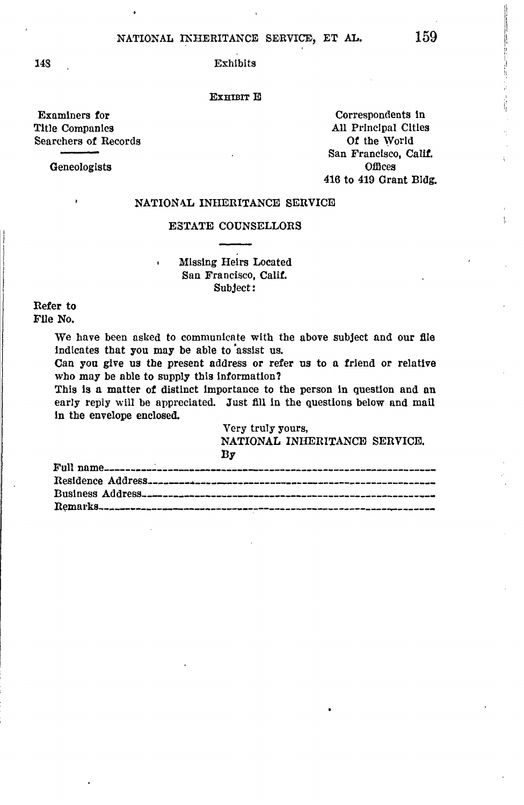148 Exhibits

### EXHIBIT E

Examiners for Correspondents in Correspondents in the Correspondents in the Correspondents in the Correspondents in  $\mathbf{All}$  Principal Cities Searchers of Records

Geneologists

ł

All Principal Cities<br>Of the World San Francisco, Calif. 416 to 419 Grant Bldg,

# NATIONAL INHERITANCE SERVICE

# ESTATE COUNSELLORS

Missing Heirs Located San Francisco, Calif. Subject:

t.

Refer to File No.

> We have been asked to communicate with the above subject and our file Indicates that you may be able to 'assist us.

> Can you give us the present address or refer us to a friend or relative who may be able to supply this information?

> This is a matter of distinct importance to the person in question and an early reply will be appreciated. Just fill in the questions below and mail In the envelope enclosed.

> > Very truly yours, **NATIONAL** INHERITANCE SERVICE.

| Bv |  |
|----|--|
|    |  |
|    |  |
|    |  |
|    |  |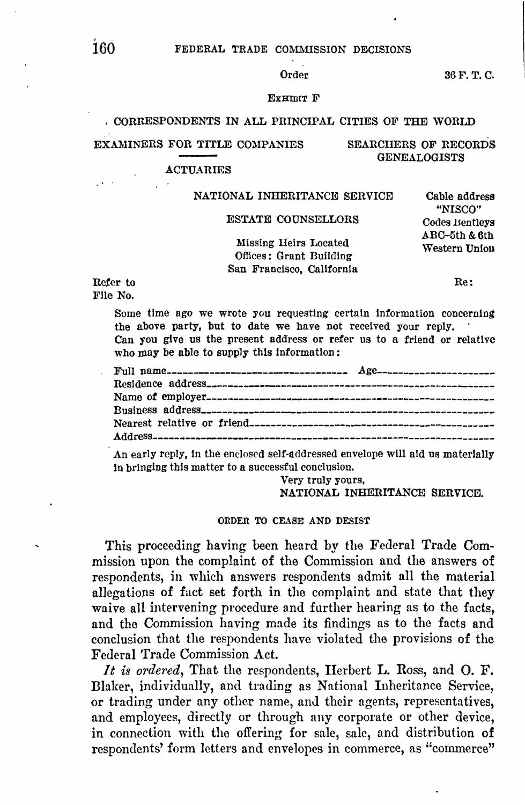# 160 FEDERAL TRADE COMMISSION DECISIONS

Order 36 F.T.C.

### ExHIBIT F

# CORRESPONDENTS IN ALL PRINCIPAL CITIES OF THE WORLD

### EXAMINERS FOR TITLE COMPANIES SEARCIIERS OF RECORDS

### **ACTUARIES**

### NATIONAL INHERITANCE SERVICE Cable address

ESTATE COUNSELLORS Codes Bentleys<br>ABC-5th & 6th

"NISCO"

GENEALOGISTS

# Missing Heirs Located Western Union Offices: Grant Building San Francisco, California

Refer to  $\qquad \qquad \text{Re}$ : File No.

Some time ago we wrote you requesting certain information concerning the above party, but to date we have not received your reply.

Can you give us the present address or refer us to a friend or relative who may be able to supply this information:

An early reply, In the enclosed self-addressed envelope wlll aid us materially in bringing this matter to a successful conclusion.

> Very truly yours, **NATIONAL INHERITANCE SERVICE.**

### ORDER TO CEASE AND DESIST

This proceeding having been heard by the Federal Trade Commission upon the complaint of the Commission and the answers of respondents, in which answers respondents admit all the material allegations of fact set forth in the complaint and state that they waive all intervening procedure and further hearing as to the facts, and the Commission having made its findings as to the facts and conclusion that the respondents have violated the provisions of the Federal Trade Commission Act.

*It is ordered,* That the respondents, Herbert **L.** Ross, and 0. F. Illaker, individually, and trading as National Inheritance Service, or trading under any other name, and their agents, representatives, and employees, directly or through any corporate or other device, in connection with the offering for sale, sale, and distribution of respondents' form letters and envelopes in commerce, as "commerce"